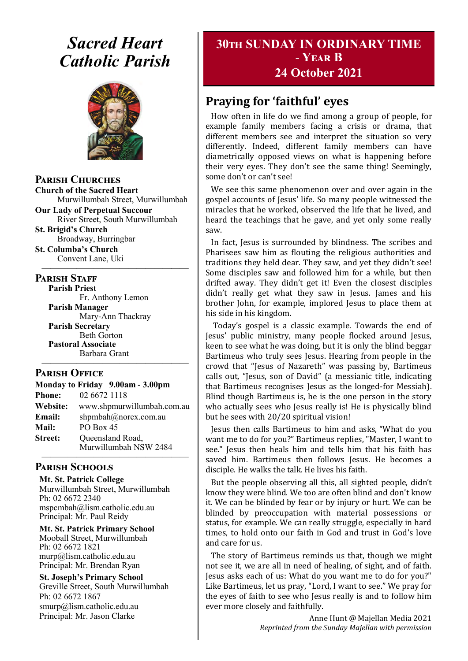# *Sacred Heart Catholic Parish*



**Parish Churches**

**Church of the Sacred Heart** Murwillumbah Street, Murwillumbah

**Our Lady of Perpetual Succour** River Street, South Murwillumbah

**St. Brigid's Church** Broadway, Burringbar

**St. Columba's Church** Convent Lane, Uki —————————————————

#### **PARISH STAFF**

**Parish Priest**

Fr. Anthony Lemon **Parish Manager** Mary-Ann Thackray **Parish Secretary** Beth Gorton **Pastoral Associate** Barbara Grant

#### **Parish Office**

**Monday to Friday 9.00am - 3.00pm Phone:** 02 6672 1118 **Website:** www.shpmurwillumbah.com.au **Email:** shpmbah@norex.com.au **Mail:** PO Box 45 **Street:** Oueensland Road, Murwillumbah NSW 2484 —————————————————

—————————————————

#### **Parish Schools**

**Mt. St. Patrick College** Murwillumbah Street, Murwillumbah Ph: 02 6672 2340 mspcmbah@lism.catholic.edu.au Principal: Mr. Paul Reidy

**Mt. St. Patrick Primary School** Mooball Street, Murwillumbah Ph: 02 6672 1821 murp@lism.catholic.edu.au Principal: Mr. Brendan Ryan

**St. Joseph's Primary School** Greville Street, South Murwillumbah Ph: 02 6672 1867 smurp@lism.catholic.edu.au Principal: Mr. Jason Clarke

# **30th SUNDAY IN ORDINARY TIME - Year B 24 October 2021**

# **Praying for 'faithful' eyes**

How often in life do we find among a group of people, for example family members facing a crisis or drama, that different members see and interpret the situation so very differently. Indeed, different family members can have diametrically opposed views on what is happening before their very eyes. They don't see the same thing! Seemingly, some don't or can't see!

We see this same phenomenon over and over again in the gospel accounts of Jesus' life. So many people witnessed the miracles that he worked, observed the life that he lived, and heard the teachings that he gave, and yet only some really saw.

In fact, Jesus is surrounded by blindness. The scribes and Pharisees saw him as flouting the religious authorities and traditions they held dear. They saw, and yet they didn't see! Some disciples saw and followed him for a while, but then drifted away. They didn't get it! Even the closest disciples didn't really get what they saw in Jesus. James and his brother John, for example, implored Jesus to place them at his side in his kingdom.

Today's gospel is a classic example. Towards the end of Jesus' public ministry, many people flocked around Jesus, keen to see what he was doing, but it is only the blind beggar Bartimeus who truly sees Jesus. Hearing from people in the crowd that "Jesus of Nazareth" was passing by, Bartimeus calls out, "Jesus, son of David" (a messianic title, indicating that Bartimeus recognises Jesus as the longed-for Messiah). Blind though Bartimeus is, he is the one person in the story who actually sees who Jesus really is! He is physically blind but he sees with 20/20 spiritual vision!

Jesus then calls Bartimeus to him and asks, "What do you want me to do for you?" Bartimeus replies, "Master, I want to see." Jesus then heals him and tells him that his faith has saved him. Bartimeus then follows Jesus. He becomes a disciple. He walks the talk. He lives his faith.

But the people observing all this, all sighted people, didn't know they were blind. We too are often blind and don't know it. We can be blinded by fear or by injury or hurt. We can be blinded by preoccupation with material possessions or status, for example. We can really struggle, especially in hard times, to hold onto our faith in God and trust in God's love and care for us.

The story of Bartimeus reminds us that, though we might not see it, we are all in need of healing, of sight, and of faith. Jesus asks each of us: What do you want me to do for you?" Like Bartimeus, let us pray, "Lord, I want to see." We pray for the eyes of faith to see who Jesus really is and to follow him ever more closely and faithfully.

> Anne Hunt @ Majellan Media 2021 *Reprinted from the Sunday Majellan with permission*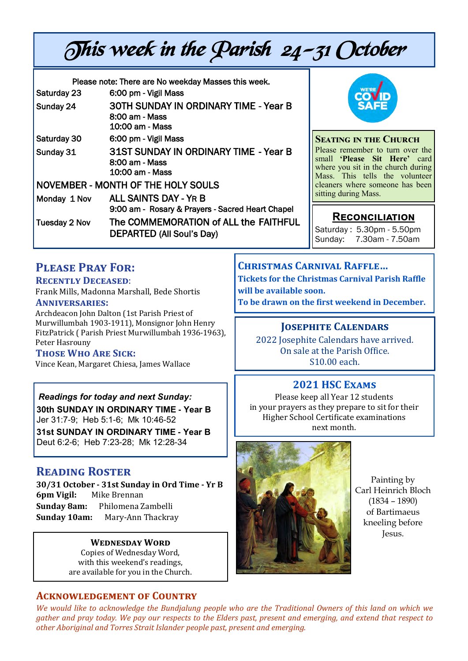# This week in the Parish 24-31 October

| Please note: There are No weekday Masses this week. |                                                                                   |
|-----------------------------------------------------|-----------------------------------------------------------------------------------|
| Saturday 23                                         | 6:00 pm - Vigil Mass                                                              |
| Sunday 24                                           | <b>30TH SUNDAY IN ORDINARY TIME - Year B</b><br>8:00 am - Mass<br>10:00 am - Mass |
| Saturday 30                                         | 6:00 pm - Vigil Mass                                                              |
| Sunday 31                                           | 31ST SUNDAY IN ORDINARY TIME - Year B<br>8:00 am - Mass<br>10:00 am - Mass        |
| NOVEMBER - MONTH OF THE HOLY SOULS                  |                                                                                   |
| Monday 1 Nov                                        | <b>ALL SAINTS DAY - YR B</b><br>9:00 am - Rosary & Prayers - Sacred Heart Chapel  |
| Tuesday 2 Nov                                       | The COMMEMORATION of ALL the FAITHFUL<br>DEPARTED (All Soul's Day)                |



**SEATING IN THE CHURCH** Please remember to turn over the small **'Please Sit Here'** card where you sit in the church during Mass. This tells the volunteer cleaners where someone has been sitting during Mass.

# **Reconciliation**

Saturday : 5.30pm - 5.50pm Sunday: 7.30am - 7.50am

# **Please Pray For:**

#### **Recently Deceased**:

Frank Mills, Madonna Marshall, Bede Shortis **Anniversaries:** 

Archdeacon John Dalton (1st Parish Priest of

Murwillumbah 1903-1911), Monsignor John Henry FitzPatrick ( Parish Priest Murwillumbah 1936-1963), Peter Hasrouny

#### **Those Who Are Sick:**

Vince Kean, Margaret Chiesa, James Wallace

#### *Readings for today and next Sunday:*

**30th SUNDAY IN ORDINARY TIME - Year B**  Jer 31:7-9; Heb 5:1-6; Mk 10:46-52

**31st SUNDAY IN ORDINARY TIME - Year B**  Deut 6:2-6; Heb 7:23-28; Mk 12:28-34

#### **Reading Roster**

**30/31 October - 31st Sunday in Ord Time - Yr B 6pm Vigil:** Mike Brennan **Sunday 8am:** Philomena Zambelli **Sunday 10am:** Mary-Ann Thackray

#### **Wednesday Word**

Copies of Wednesday Word, with this weekend's readings, are available for you in the Church.

#### **Acknowledgement of Country**

**Christmas Carnival Raffle… Tickets for the Christmas Carnival Parish Raffle will be available soon.** 

**To be drawn on the first weekend in December.**

#### **Josephite Calendars**

2022 Josephite Calendars have arrived. On sale at the Parish Office. S10.00 each.

# **2021 HSC Exams**

Please keep all Year 12 students in your prayers as they prepare to sit for their Higher School Certificate examinations next month.



Painting by Carl Heinrich Bloch (1834 – 1890) of Bartimaeus kneeling before Jesus.

*We would like to acknowledge the Bundjalung people who are the Traditional Owners of this land on which we gather and pray today. We pay our respects to the Elders past, present and emerging, and extend that respect to other Aboriginal and Torres Strait Islander people past, present and emerging.*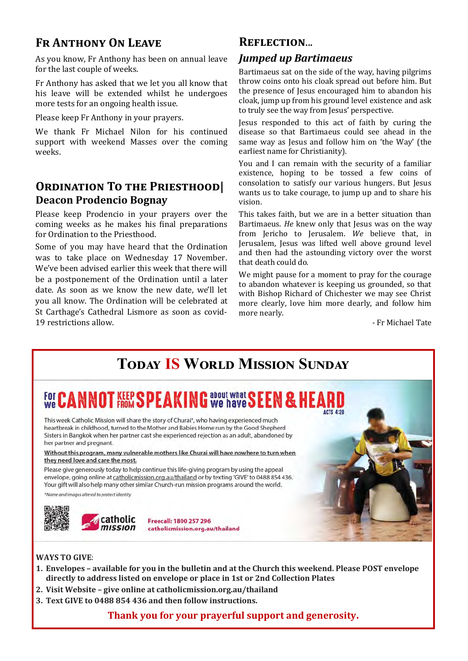# **Fr Anthony On Leave**

As you know, Fr Anthony has been on annual leave for the last couple of weeks.

Fr Anthony has asked that we let you all know that his leave will be extended whilst he undergoes more tests for an ongoing health issue.

Please keep Fr Anthony in your prayers.

We thank Fr Michael Nilon for his continued support with weekend Masses over the coming weeks.

# **Ordination To the Priesthood| Deacon Prodencio Bognay**

Please keep Prodencio in your prayers over the coming weeks as he makes his final preparations for Ordination to the Priesthood.

Some of you may have heard that the Ordination was to take place on Wednesday 17 November. We've been advised earlier this week that there will be a postponement of the Ordination until a later date. As soon as we know the new date, we'll let you all know. The Ordination will be celebrated at St Carthage's Cathedral Lismore as soon as covid-19 restrictions allow.

#### **Reflection**...

#### *Jumped up Bartimaeus*

Bartimaeus sat on the side of the way, having pilgrims throw coins onto his cloak spread out before him. But the presence of Jesus encouraged him to abandon his cloak, jump up from his ground level existence and ask to truly see the way from Jesus' perspective.

Jesus responded to this act of faith by curing the disease so that Bartimaeus could see ahead in the same way as Jesus and follow him on 'the Way' (the earliest name for Christianity).

You and I can remain with the security of a familiar existence, hoping to be tossed a few coins of consolation to satisfy our various hungers. But Jesus wants us to take courage, to jump up and to share his vision.

This takes faith, but we are in a better situation than Bartimaeus. *He* knew only that Jesus was on the way from Jericho to Jerusalem. *We* believe that, in Jerusalem, Jesus was lifted well above ground level and then had the astounding victory over the worst that death could do.

We might pause for a moment to pray for the courage to abandon whatever is keeping us grounded, so that with Bishop Richard of Chichester we may see Christ more clearly, love him more dearly, and follow him more nearly.

- Fr Michael Tate

# **Today IS World Mission Sunday**

#### about what **O G** about what S ACTS A-20

This week Catholic Mission will share the story of Churai\*, who having experienced much heartbreak in childhood, turned to the Mother and Babies Home run by the Good Shepherd Sisters in Bangkok when her partner cast she experienced rejection as an adult, abandoned by her partner and pregnant.

Without this program, many vulnerable mothers like Churai will have nowhere to turn when they need love and care the most.

Please give generously today to help continue this life-giving program by using the appeal envelope, going online at catholicmission.org.au/thailand or by texting 'GIVE' to 0488 854 436. Your gift will also help many other similar Church-run mission programs around the world.

"Name and images altered to protect identity



#### **WAYS TO GIVE**:

- **1. Envelopes – available for you in the bulletin and at the Church this weekend. Please POST envelope directly to address listed on envelope or place in 1st or 2nd Collection Plates**
- **2. Visit Website – give online at catholicmission.org.au/thailand**
- **3. Text GIVE to 0488 854 436 and then follow instructions.**

#### **Thank you for your prayerful support and generosity.**